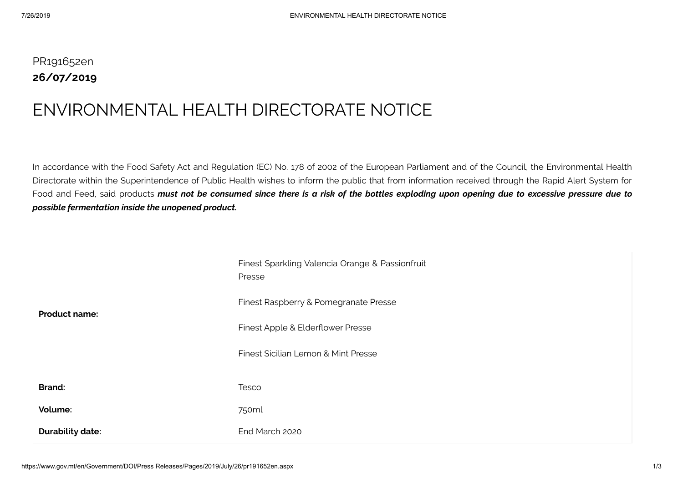## PR191652en **26/07/2019**

## ENVIRONMENTAL HEALTH DIRECTORATE NOTICE

In accordance with the Food Safety Act and Regulation (EC) No. 178 of 2002 of the European Parliament and of the Council, the Environmental Health Directorate within the Superintendence of Public Health wishes to inform the public that from information received through the Rapid Alert System for Food and Feed, said products must not be consumed since there is a risk of the bottles exploding upon opening due to excessive pressure due to *possible fermentation inside the unopened product.*

| <b>Product name:</b>    | Finest Sparkling Valencia Orange & Passionfruit<br>Presse |
|-------------------------|-----------------------------------------------------------|
|                         | Finest Raspberry & Pomegranate Presse                     |
|                         | Finest Apple & Elderflower Presse                         |
|                         | Finest Sicilian Lemon & Mint Presse                       |
|                         |                                                           |
| <b>Brand:</b>           | Tesco                                                     |
| Volume:                 | 750ml                                                     |
| <b>Durability date:</b> | End March 2020                                            |